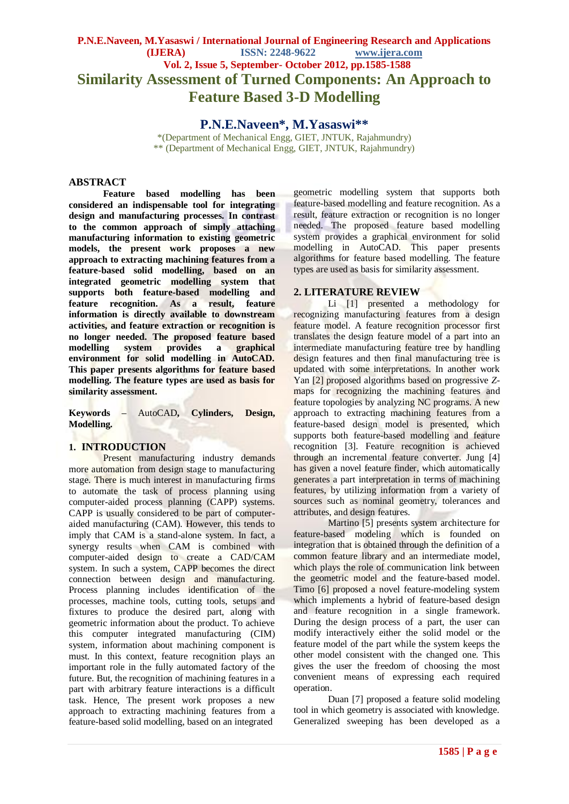# **P.N.E.Naveen, M.Yasaswi / International Journal of Engineering Research and Applications (IJERA) ISSN: 2248-9622 www.ijera.com Vol. 2, Issue 5, September- October 2012, pp.1585-1588 Similarity Assessment of Turned Components: An Approach to Feature Based 3-D Modelling**

**P.N.E.Naveen\*, M.Yasaswi\*\***

\*(Department of Mechanical Engg, GIET, JNTUK, Rajahmundry) \*\* (Department of Mechanical Engg, GIET, JNTUK, Rajahmundry)

### **ABSTRACT**

**Feature based modelling has been considered an indispensable tool for integrating design and manufacturing processes. In contrast to the common approach of simply attaching manufacturing information to existing geometric models, the present work proposes a new approach to extracting machining features from a feature-based solid modelling, based on an integrated geometric modelling system that supports both feature-based modelling and feature recognition. As a result, feature information is directly available to downstream activities, and feature extraction or recognition is no longer needed. The proposed feature based modelling system provides a graphical environment for solid modelling in AutoCAD. This paper presents algorithms for feature based modelling. The feature types are used as basis for similarity assessment.** 

**Keywords –** AutoCAD**, Cylinders, Design, Modelling.**

#### **1. INTRODUCTION**

Present manufacturing industry demands more automation from design stage to manufacturing stage. There is much interest in manufacturing firms to automate the task of process planning using computer-aided process planning (CAPP) systems. CAPP is usually considered to be part of computeraided manufacturing (CAM). However, this tends to imply that CAM is a stand-alone system. In fact, a synergy results when CAM is combined with computer-aided design to create a CAD/CAM system. In such a system, CAPP becomes the direct connection between design and manufacturing. Process planning includes identification of the processes, machine tools, cutting tools, setups and fixtures to produce the desired part, along with geometric information about the product. To achieve this computer integrated manufacturing (CIM) system, information about machining component is must. In this context, feature recognition plays an important role in the fully automated factory of the future. But, the recognition of machining features in a part with arbitrary feature interactions is a difficult task. Hence, The present work proposes a new approach to extracting machining features from a feature-based solid modelling, based on an integrated

geometric modelling system that supports both feature-based modelling and feature recognition. As a result, feature extraction or recognition is no longer needed. The proposed feature based modelling system provides a graphical environment for solid modelling in AutoCAD. This paper presents algorithms for feature based modelling. The feature types are used as basis for similarity assessment.

### **2. LITERATURE REVIEW**

Li [1] presented a methodology for recognizing manufacturing features from a design feature model. A feature recognition processor first translates the design feature model of a part into an intermediate manufacturing feature tree by handling design features and then final manufacturing tree is updated with some interpretations. In another work Yan [2] proposed algorithms based on progressive *Z*maps for recognizing the machining features and feature topologies by analyzing NC programs. A new approach to extracting machining features from a feature-based design model is presented, which supports both feature-based modelling and feature recognition [3]. Feature recognition is achieved through an incremental feature converter. Jung [4] has given a novel feature finder, which automatically generates a part interpretation in terms of machining features, by utilizing information from a variety of sources such as nominal geometry, tolerances and attributes, and design features.

Martino [5] presents system architecture for feature-based modeling which is founded on integration that is obtained through the definition of a common feature library and an intermediate model, which plays the role of communication link between the geometric model and the feature-based model. Timo [6] proposed a novel feature-modeling system which implements a hybrid of feature-based design and feature recognition in a single framework. During the design process of a part, the user can modify interactively either the solid model or the feature model of the part while the system keeps the other model consistent with the changed one. This gives the user the freedom of choosing the most convenient means of expressing each required operation.

Duan [7] proposed a feature solid modeling tool in which geometry is associated with knowledge. Generalized sweeping has been developed as a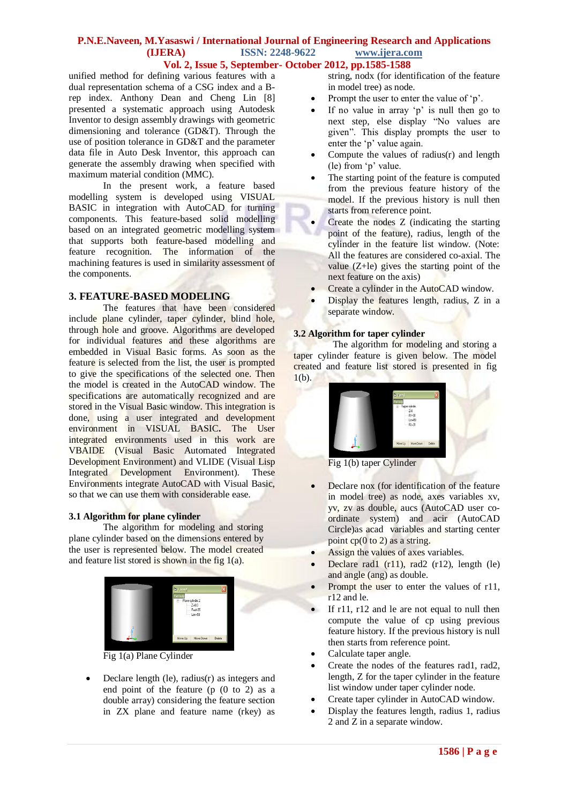# **P.N.E.Naveen, M.Yasaswi / International Journal of Engineering Research and Applications (IJERA) ISSN: 2248-9622 www.ijera.com**

### **Vol. 2, Issue 5, September- October 2012, pp.1585-1588**

unified method for defining various features with a dual representation schema of a CSG index and a Brep index. Anthony Dean and Cheng Lin [8] presented a systematic approach using Autodesk Inventor to design assembly drawings with geometric dimensioning and tolerance (GD&T). Through the use of position tolerance in GD&T and the parameter data file in Auto Desk Inventor, this approach can generate the assembly drawing when specified with maximum material condition (MMC).

In the present work, a feature based modelling system is developed using VISUAL BASIC in integration with AutoCAD for turning components. This feature-based solid modelling based on an integrated geometric modelling system that supports both feature-based modelling and feature recognition. The information of the machining features is used in similarity assessment of the components.

### **3. FEATURE-BASED MODELING**

The features that have been considered include plane cylinder, taper cylinder, blind hole, through hole and groove. Algorithms are developed for individual features and these algorithms are embedded in Visual Basic forms. As soon as the feature is selected from the list, the user is prompted to give the specifications of the selected one. Then the model is created in the AutoCAD window. The specifications are automatically recognized and are stored in the Visual Basic window. This integration is done, using a user integrated and development environment in VISUAL BASIC. The User integrated environments used in this work are VBAIDE (Visual Basic Automated Integrated Development Environment) and VLIDE (Visual Lisp Integrated Development Environment). These Environments integrate AutoCAD with Visual Basic, so that we can use them with considerable ease.

## **3.1 Algorithm for plane cylinder**

The algorithm for modeling and storing plane cylinder based on the dimensions entered by the user is represented below. The model created and feature list stored is shown in the fig  $1(a)$ .



Fig 1(a) Plane Cylinder

 Declare length (le), radius(r) as integers and end point of the feature (p (0 to 2) as a double array) considering the feature section in ZX plane and feature name (rkey) as

string, nodx (for identification of the feature in model tree) as node.

- Prompt the user to enter the value of 'p'.
- If no value in array  $p'$  is null then go to next step, else display "No values are given". This display prompts the user to enter the 'p' value again.
- Compute the values of radius(r) and length (le) from 'p' value.
- The starting point of the feature is computed from the previous feature history of the model. If the previous history is null then starts from reference point.
- Create the nodes Z (indicating the starting point of the feature), radius, length of the cylinder in the feature list window. (Note: All the features are considered co-axial. The value  $(Z+le)$  gives the starting point of the next feature on the axis)
- Create a cylinder in the AutoCAD window.
- Display the features length, radius, Z in a separate window.

### **3.2 Algorithm for taper cylinder**

The algorithm for modeling and storing a taper cylinder feature is given below. The model created and feature list stored is presented in fig  $1(b)$ .



- Fig 1(b) taper Cylinder
- Declare nox (for identification of the feature in model tree) as node, axes variables xv, yv, zv as double, aucs (AutoCAD user coordinate system) and acir (AutoCAD Circle)as acad variables and starting center point  $cp(0 to 2)$  as a string.
- Assign the values of axes variables.
- Declare rad1 (r11), rad2 (r12), length (le) and angle (ang) as double.
- Prompt the user to enter the values of r11, r12 and le.
- If r11, r12 and le are not equal to null then compute the value of cp using previous feature history. If the previous history is null then starts from reference point.
- Calculate taper angle.
- Create the nodes of the features rad1, rad2, length, Z for the taper cylinder in the feature list window under taper cylinder node.
- Create taper cylinder in AutoCAD window.
- Display the features length, radius 1, radius 2 and Z in a separate window.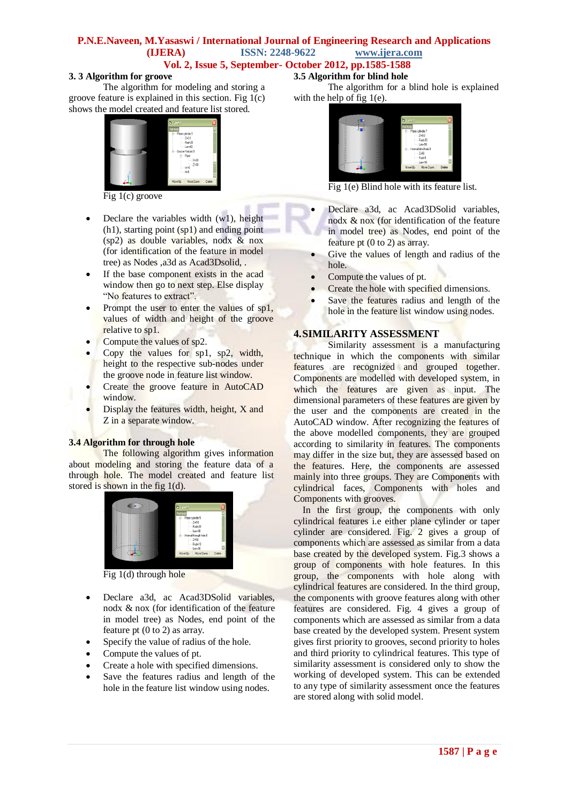#### **P.N.E.Naveen, M.Yasaswi / International Journal of Engineering Research and Applications (IJERA) ISSN: 2248-9622 www.ijera.com Vol. 2, Issue 5, September- October 2012, pp.1585-1588**

#### **3. 3 Algorithm for groove**

The algorithm for modeling and storing a groove feature is explained in this section. Fig  $1(c)$ shows the model created and feature list stored.



Fig 1(c) groove

- $\bullet$  Declare the variables width (w1), height (h1), starting point (sp1) and ending point (sp2) as double variables, nodx & nox (for identification of the feature in model tree) as Nodes ,a3d as Acad3Dsolid, .
- If the base component exists in the acad window then go to next step. Else display "No features to extract".
- Prompt the user to enter the values of sp1, values of width and height of the groove relative to sp1.
- Compute the values of sp2.
- Copy the values for sp1, sp2, width, height to the respective sub-nodes under the groove node in feature list window.
- Create the groove feature in AutoCAD window.
- Display the features width, height, X and Z in a separate window.

#### **3.4 Algorithm for through hole**

The following algorithm gives information about modeling and storing the feature data of a through hole. The model created and feature list stored is shown in the fig 1(d).



Fig 1(d) through hole

- Declare a3d, ac Acad3DSolid variables, nodx & nox (for identification of the feature in model tree) as Nodes, end point of the feature pt (0 to 2) as array.
- Specify the value of radius of the hole.
- Compute the values of pt.
- Create a hole with specified dimensions.
- Save the features radius and length of the hole in the feature list window using nodes.

## **3.5 Algorithm for blind hole**

The algorithm for a blind hole is explained with the help of fig 1(e).



Fig 1(e) Blind hole with its feature list.

- Declare a3d, ac Acad3DSolid variables, nodx & nox (for identification of the feature in model tree) as Nodes, end point of the feature pt  $(0 \text{ to } 2)$  as array.
- Give the values of length and radius of the hole.
- Compute the values of pt.
- Create the hole with specified dimensions.
- Save the features radius and length of the hole in the feature list window using nodes.

### **4.SIMILARITY ASSESSMENT**

Similarity assessment is a manufacturing technique in which the components with similar features are recognized and grouped together. Components are modelled with developed system, in which the features are given as input. The dimensional parameters of these features are given by the user and the components are created in the AutoCAD window. After recognizing the features of the above modelled components, they are grouped according to similarity in features. The components may differ in the size but, they are assessed based on the features. Here, the components are assessed mainly into three groups. They are Components with cylindrical faces, Components with holes and Components with grooves.

In the first group, the components with only cylindrical features i.e either plane cylinder or taper cylinder are considered. Fig. 2 gives a group of components which are assessed as similar from a data base created by the developed system. Fig.3 shows a group of components with hole features. In this group, the components with hole along with cylindrical features are considered. In the third group, the components with groove features along with other features are considered. Fig. 4 gives a group of components which are assessed as similar from a data base created by the developed system. Present system gives first priority to grooves, second priority to holes and third priority to cylindrical features. This type of similarity assessment is considered only to show the working of developed system. This can be extended to any type of similarity assessment once the features are stored along with solid model.